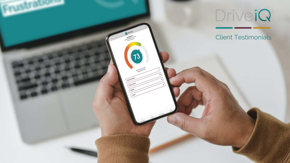



### Client Testimonials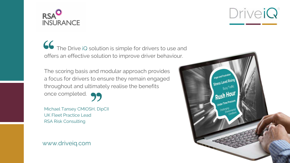

 The Drive iQ solution is simple for drivers to use and offers an effective solution to improve driver behaviour.

The scoring basis and modular approach provides a focus for drivers to ensure they remain engaged throughout and ultimately realise the benefits once completed.

Michael Tansey CMIOSH, DipCII UK Fleet Practice Lead RSA Risk Consulting

DriveiQ

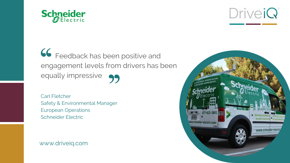

## Feedback has been positive and engagement levels from drivers has been equally impressive

Carl Fletcher Safety & Environmental Manager European Operations Schneider Electric

DriveiQ

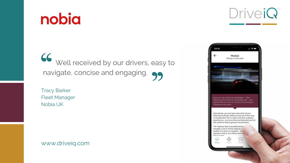# nobia

# Well received by our drivers, easy to navigate, concise and engaging.

Tracy Barker Fleet Manager Nobia UK

DriveiQ

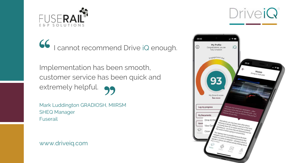

# I cannot recommend Drive iQ enough.

Implementation has been smooth, customer service has been quick and extremely helpful.

Mark Luddington GRADIOSH, MIIRSM SHEQ Manager Fuserail

DriveiQ

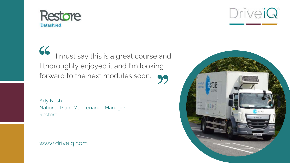

 I must say this is a great course and I thoroughly enjoyed it and I'm looking forward to the next modules soon.

Ady Nash National Plant Maintenance Manager Restore

DriveiQ

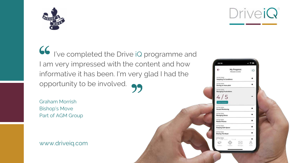

 I've completed the Drive iQ programme and I am very impressed with the content and how informative it has been. I'm very glad I had the opportunity to be involved.

Graham Morrish Bishop's Move Part of AGM Group



DriveiQ

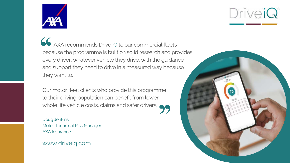

 AXA recommends Drive iQ to our commercial fleets because the programme is built on solid research and provides every driver, whatever vehicle they drive, with the guidance and support they need to drive in a measured way because they want to.

Our motor fleet clients who provide this programme to their driving population can benefit from lower whole life vehicle costs, claims and safer drivers.

Doug Jenkins Motor Technical Risk Manager AXA Insurance

DriveiQ

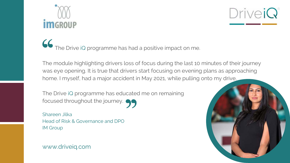

# The Drive iQ programme has had a positive impact on me.

The Drive iQ programme has educated me on remaining focused throughout the journey.

The module highlighting drivers loss of focus during the last 10 minutes of their journey was eye opening. It is true that drivers start focusing on evening plans as approaching home. I myself, had a major accident in May 2021, while pulling onto my drive.

Shareen Jilka Head of Risk & Governance and DPO IM Group

DriveiQ

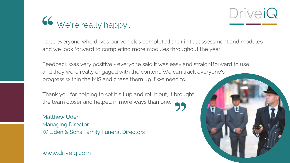

...that everyone who drives our vehicles completed their initial assessment and modules and we look forward to completing more modules throughout the year.

Feedback was very positive - everyone said it was easy and straightforward to use and they were really engaged with the content. We can track everyone's progress within the MIS and chase them up if we need to.

Thank you for helping to set it all up and roll it out, it brought the team closer and helped in more ways than one.

Matthew Uden Managing Director W Uden & Sons Family Funeral Directors

DriveiQ

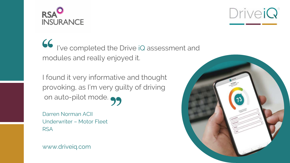

 I've completed the Drive iQ assessment and modules and really enjoyed it.

I found it very informative and thought provoking, as I'm very guilty of driving on auto-pilot mode.

Darren Norman ACII Underwriter – Motor Fleet RSA

DriveiQ

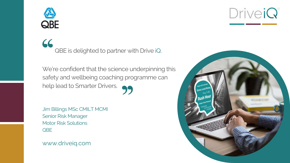

## $66$ QBE is delighted to partner with Drive iQ.

We're confident that the science underpinning this safety and wellbeing coaching programme can help lead to Smarter Drivers.

Jim Billings MSc CMILT MCMI Senior Risk Manager Motor Risk Solutions QBE

DriveiQ

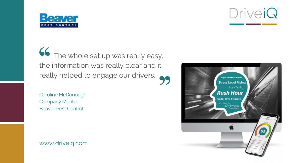

 The whole set up was really easy, the information was really clear and it really helped to engage our drivers.

Caroline McDonough Company Mentor Beaver Pest Control

DriveiQ